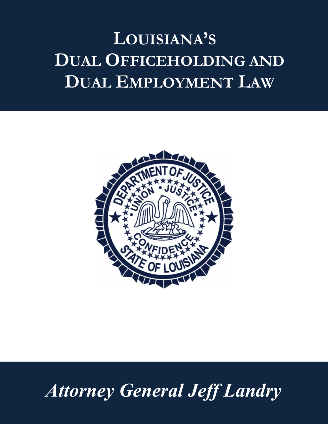# LOUISIANA'S DUAL OFFICEHOLDING AND DUAL EMPLOYMENT LAW



# Attorney General Jeff Landry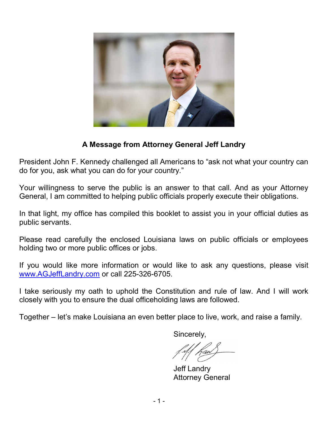

### A Message from Attorney General Jeff Landry

President John F. Kennedy challenged all Americans to "ask not what your country can do for you, ask what you can do for your country."

Your willingness to serve the public is an answer to that call. And as your Attorney General, I am committed to helping public officials properly execute their obligations.

In that light, my office has compiled this booklet to assist you in your official duties as public servants.

Please read carefully the enclosed Louisiana laws on public officials or employees holding two or more public offices or jobs.

If you would like more information or would like to ask any questions, please visit www.AGJeffLandry.com or call 225-326-6705.

I take seriously my oath to uphold the Constitution and rule of law. And I will work closely with you to ensure the dual officeholding laws are followed.

Together – let's make Louisiana an even better place to live, work, and raise a family.

Sincerely,

Jeff Landry Attorney General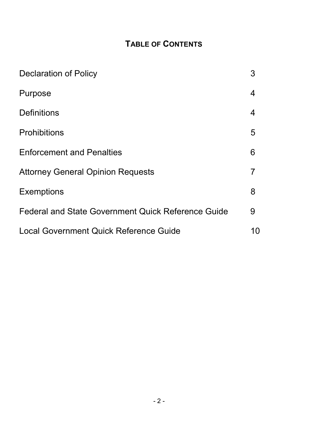# TABLE OF CONTENTS

| <b>Declaration of Policy</b>                              | 3  |
|-----------------------------------------------------------|----|
| Purpose                                                   | 4  |
| <b>Definitions</b>                                        | 4  |
| <b>Prohibitions</b>                                       | 5  |
| <b>Enforcement and Penalties</b>                          | 6  |
| <b>Attorney General Opinion Requests</b>                  | 7  |
| <b>Exemptions</b>                                         | 8  |
| <b>Federal and State Government Quick Reference Guide</b> | 9  |
| Local Government Quick Reference Guide                    | 10 |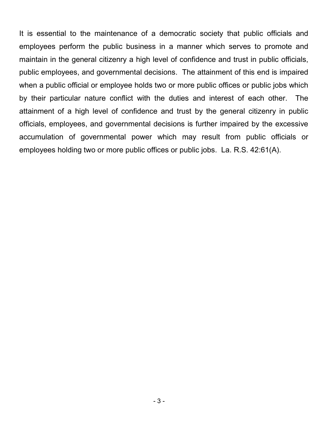It is essential to the maintenance of a democratic society that public officials and employees perform the public business in a manner which serves to promote and maintain in the general citizenry a high level of confidence and trust in public officials, public employees, and governmental decisions. The attainment of this end is impaired when a public official or employee holds two or more public offices or public jobs which by their particular nature conflict with the duties and interest of each other. The attainment of a high level of confidence and trust by the general citizenry in public officials, employees, and governmental decisions is further impaired by the excessive accumulation of governmental power which may result from public officials or employees holding two or more public offices or public jobs. La. R.S. 42:61(A).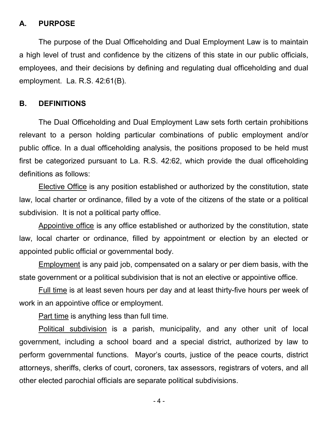#### A. PURPOSE

The purpose of the Dual Officeholding and Dual Employment Law is to maintain a high level of trust and confidence by the citizens of this state in our public officials, employees, and their decisions by defining and regulating dual officeholding and dual employment. La. R.S. 42:61(B).

#### B. DEFINITIONS

The Dual Officeholding and Dual Employment Law sets forth certain prohibitions relevant to a person holding particular combinations of public employment and/or public office. In a dual officeholding analysis, the positions proposed to be held must first be categorized pursuant to La. R.S. 42:62, which provide the dual officeholding definitions as follows:

Elective Office is any position established or authorized by the constitution, state law, local charter or ordinance, filled by a vote of the citizens of the state or a political subdivision. It is not a political party office.

 Appointive office is any office established or authorized by the constitution, state law, local charter or ordinance, filled by appointment or election by an elected or appointed public official or governmental body.

 Employment is any paid job, compensated on a salary or per diem basis, with the state government or a political subdivision that is not an elective or appointive office.

 Full time is at least seven hours per day and at least thirty-five hours per week of work in an appointive office or employment.

Part time is anything less than full time.

 Political subdivision is a parish, municipality, and any other unit of local government, including a school board and a special district, authorized by law to perform governmental functions. Mayor's courts, justice of the peace courts, district attorneys, sheriffs, clerks of court, coroners, tax assessors, registrars of voters, and all other elected parochial officials are separate political subdivisions.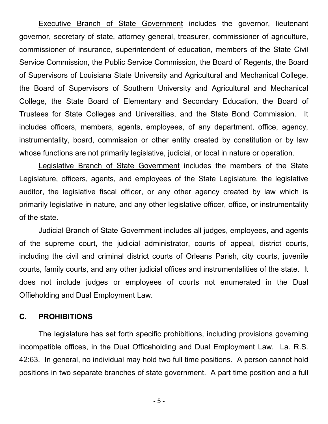Executive Branch of State Government includes the governor, lieutenant governor, secretary of state, attorney general, treasurer, commissioner of agriculture, commissioner of insurance, superintendent of education, members of the State Civil Service Commission, the Public Service Commission, the Board of Regents, the Board of Supervisors of Louisiana State University and Agricultural and Mechanical College, the Board of Supervisors of Southern University and Agricultural and Mechanical College, the State Board of Elementary and Secondary Education, the Board of Trustees for State Colleges and Universities, and the State Bond Commission. It includes officers, members, agents, employees, of any department, office, agency, instrumentality, board, commission or other entity created by constitution or by law whose functions are not primarily legislative, judicial, or local in nature or operation.

 Legislative Branch of State Government includes the members of the State Legislature, officers, agents, and employees of the State Legislature, the legislative auditor, the legislative fiscal officer, or any other agency created by law which is primarily legislative in nature, and any other legislative officer, office, or instrumentality of the state.

 Judicial Branch of State Government includes all judges, employees, and agents of the supreme court, the judicial administrator, courts of appeal, district courts, including the civil and criminal district courts of Orleans Parish, city courts, juvenile courts, family courts, and any other judicial offices and instrumentalities of the state. It does not include judges or employees of courts not enumerated in the Dual Offieholding and Dual Employment Law.

#### C. PROHIBITIONS

The legislature has set forth specific prohibitions, including provisions governing incompatible offices, in the Dual Officeholding and Dual Employment Law. La. R.S. 42:63. In general, no individual may hold two full time positions. A person cannot hold positions in two separate branches of state government. A part time position and a full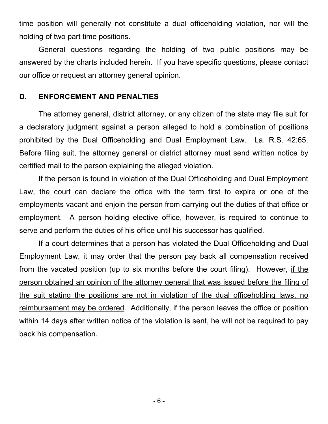time position will generally not constitute a dual officeholding violation, nor will the holding of two part time positions.

General questions regarding the holding of two public positions may be answered by the charts included herein. If you have specific questions, please contact our office or request an attorney general opinion.

#### D. ENFORCEMENT AND PENALTIES

The attorney general, district attorney, or any citizen of the state may file suit for a declaratory judgment against a person alleged to hold a combination of positions prohibited by the Dual Officeholding and Dual Employment Law. La. R.S. 42:65. Before filing suit, the attorney general or district attorney must send written notice by certified mail to the person explaining the alleged violation.

If the person is found in violation of the Dual Officeholding and Dual Employment Law, the court can declare the office with the term first to expire or one of the employments vacant and enjoin the person from carrying out the duties of that office or employment. A person holding elective office, however, is required to continue to serve and perform the duties of his office until his successor has qualified.

If a court determines that a person has violated the Dual Officeholding and Dual Employment Law, it may order that the person pay back all compensation received from the vacated position (up to six months before the court filing). However, if the person obtained an opinion of the attorney general that was issued before the filing of the suit stating the positions are not in violation of the dual officeholding laws, no reimbursement may be ordered. Additionally, if the person leaves the office or position within 14 days after written notice of the violation is sent, he will not be required to pay back his compensation.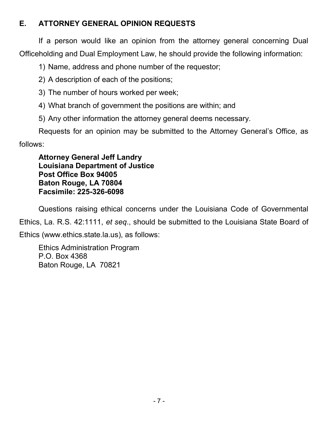## E. ATTORNEY GENERAL OPINION REQUESTS

If a person would like an opinion from the attorney general concerning Dual Officeholding and Dual Employment Law, he should provide the following information:

1) Name, address and phone number of the requestor;

- 2) A description of each of the positions;
- 3) The number of hours worked per week;
- 4) What branch of government the positions are within; and
- 5) Any other information the attorney general deems necessary.

Requests for an opinion may be submitted to the Attorney General's Office, as follows:

Attorney General Jeff Landry Louisiana Department of Justice Post Office Box 94005 Baton Rouge, LA 70804 Facsimile: 225-326-6098

Questions raising ethical concerns under the Louisiana Code of Governmental

Ethics, La. R.S. 42:1111, et seq., should be submitted to the Louisiana State Board of Ethics (www.ethics.state.la.us), as follows:

Ethics Administration Program P.O. Box 4368 Baton Rouge, LA 70821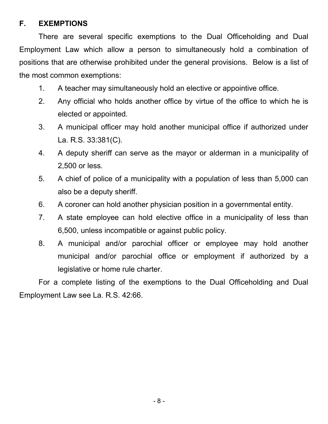### F. EXEMPTIONS

There are several specific exemptions to the Dual Officeholding and Dual Employment Law which allow a person to simultaneously hold a combination of positions that are otherwise prohibited under the general provisions. Below is a list of the most common exemptions:

- 1. A teacher may simultaneously hold an elective or appointive office.
- 2. Any official who holds another office by virtue of the office to which he is elected or appointed.
- 3. A municipal officer may hold another municipal office if authorized under La. R.S. 33:381(C).
- 4. A deputy sheriff can serve as the mayor or alderman in a municipality of 2,500 or less.
- 5. A chief of police of a municipality with a population of less than 5,000 can also be a deputy sheriff.
- 6. A coroner can hold another physician position in a governmental entity.
- 7. A state employee can hold elective office in a municipality of less than 6,500, unless incompatible or against public policy.
- 8. A municipal and/or parochial officer or employee may hold another municipal and/or parochial office or employment if authorized by a legislative or home rule charter.

For a complete listing of the exemptions to the Dual Officeholding and Dual Employment Law see La. R.S. 42:66.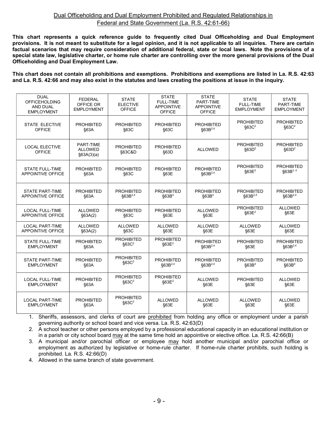#### Dual Officeholding and Dual Employment Prohibited and Regulated Relationships in Federal and State Government (La. R.S. 42:61-66)

This chart represents a quick reference guide to frequently cited Dual Officeholding and Dual Employment provisions. It is not meant to substitute for a legal opinion, and it is not applicable to all inquiries. There are certain factual scenarios that may require consideration of additional federal, state or local laws. Note the provisions of a special state law, legislative charter, or home rule charter are controlling over the more general provisions of the Dual Officeholding and Dual Employment Law.

This chart does not contain all prohibitions and exemptions. Prohibitions and exemptions are listed in La. R.S. 42:63 and La. R.S. 42:66 and may also exist in the statutes and laws creating the positions at issue in the inquiry.

| <b>DUAL</b><br><b>OFFICEHOLDING</b><br><b>AND DUAL</b><br><b>EMPLOYMENT</b> | <b>FEDERAL</b><br>OFFICE OR<br><b>EMPLOYMENT</b> | <b>STATE</b><br><b>ELECTIVE</b><br><b>OFFICE</b> | <b>STATE</b><br><b>FULL-TIME</b><br><b>APPOINTIVE</b><br><b>OFFICE</b> | <b>STATE</b><br>PART-TIME<br><b>APPOINTIVE</b><br><b>OFFICE</b> | <b>STATE</b><br><b>FULL-TIME</b><br><b>EMPLOYMENT</b> | <b>STATE</b><br>PART-TIME<br><b>EMPLOYMENT</b> |
|-----------------------------------------------------------------------------|--------------------------------------------------|--------------------------------------------------|------------------------------------------------------------------------|-----------------------------------------------------------------|-------------------------------------------------------|------------------------------------------------|
| <b>STATE ELECTIVE</b>                                                       | <b>PROHIBITED</b>                                | <b>PROHIBITED</b>                                | <b>PROHIBITED</b>                                                      | <b>PROHIBITED</b>                                               | <b>PROHIBITED</b>                                     | <b>PROHIBITED</b>                              |
| <b>OFFICE</b>                                                               | \$63A                                            | §63C                                             | \$63C                                                                  | $$63B^{2,4}$                                                    | \$63C <sup>2</sup>                                    | $§63C^2$                                       |
| <b>LOCAL ELECTIVE</b><br><b>OFFICE</b>                                      | PART-TIME<br><b>ALLOWED</b><br>§63A(3)(a)        | <b>PROHIBITED</b><br>§63C&D                      | <b>PROHIBITED</b><br>§63D                                              | <b>ALLOWED</b>                                                  | <b>PROHIBITED</b><br>$$63D^2$                         | <b>PROHIBITED</b><br>$$63D^2$                  |
| <b>STATE FULL-TIME</b>                                                      | <b>PROHIBITED</b>                                | <b>PROHIBITED</b>                                | <b>PROHIBITED</b>                                                      | <b>PROHIBITED</b>                                               | <b>PROHIBITED</b>                                     | <b>PROHIBITED</b>                              |
| <b>APPOINTIVE OFFICE</b>                                                    | §63A                                             | \$63C                                            | §63E                                                                   | $$63B^{2,4}$                                                    | \$63E <sup>2</sup>                                    | $$63B^{2,4}$                                   |
| <b>STATE PART-TIME</b>                                                      | <b>PROHIBITED</b>                                | <b>PROHIBITED</b>                                | <b>PROHIBITED</b>                                                      | <b>PROHIBITED</b>                                               | <b>PROHIBITED</b>                                     | <b>PROHIBITED</b>                              |
| <b>APPOINTIVE OFFICE</b>                                                    | §63A                                             | §63B <sup>2,4</sup>                              | §63B <sup>4</sup>                                                      | §63B <sup>4</sup>                                               | §63B <sup>2,4</sup>                                   | $$63B^{2,4}$                                   |
| <b>LOCAL FULL-TIME</b>                                                      | <b>ALLOWED</b>                                   | <b>PROHIBITED</b>                                | <b>PROHIBITED</b>                                                      | <b>ALLOWED</b>                                                  | <b>PROHIBITED</b>                                     | <b>ALLOWED</b>                                 |
| <b>APPOINTIVE OFFICE</b>                                                    | §63A(2)                                          | §63C                                             | §63E                                                                   | §63E                                                            | $§63E^2$                                              | §63E                                           |
| <b>LOCAL PART-TIME</b>                                                      | <b>ALLOWED</b>                                   | <b>ALLOWED</b>                                   | <b>ALLOWED</b>                                                         | <b>ALLOWED</b>                                                  | <b>ALLOWED</b>                                        | <b>ALLOWED</b>                                 |
| <b>APPOINTIVE OFFICE</b>                                                    | §63A(2)                                          | §63C                                             | §63E                                                                   | §63E                                                            | §63E                                                  | §63E                                           |
| <b>STATE FULL-TIME</b>                                                      | <b>PROHIBITED</b>                                | <b>PROHIBITED</b>                                | <b>PROHIBITED</b>                                                      | <b>PROHIBITED</b>                                               | <b>PROHIBITED</b>                                     | <b>PROHIBITED</b>                              |
| <b>EMPLOYMENT</b>                                                           | §63A                                             | \$63C <sup>2</sup>                               | \$63E <sup>2</sup>                                                     | §63B <sup>2,4</sup>                                             | §63E                                                  | §63B <sup>2,4</sup>                            |
| <b>STATE PART-TIME</b>                                                      | <b>PROHIBITED</b>                                | <b>PROHIBITED</b>                                | <b>PROHIBITED</b>                                                      | <b>PROHIBITED</b>                                               | <b>PROHIBITED</b>                                     | <b>PROHIBITED</b>                              |
| <b>EMPLOYMENT</b>                                                           | §63A                                             | \$63C <sup>2</sup>                               | $$63B^{2,4}$                                                           | $$63B^{2,4}$                                                    | \$63B <sup>4</sup>                                    | \$63B <sup>4</sup>                             |
| <b>LOCAL FULL-TIME</b>                                                      | <b>PROHIBITED</b>                                | <b>PROHIBITED</b>                                | <b>PROHIBITED</b>                                                      | <b>ALLOWED</b>                                                  | <b>PROHIBITED</b>                                     | <b>ALLOWED</b>                                 |
| <b>EMPLOYMENT</b>                                                           | §63A                                             | $§63C^2$                                         | \$63E <sup>2</sup>                                                     | §63E                                                            | §63E                                                  | §63E                                           |
| <b>LOCAL PART-TIME</b>                                                      | <b>PROHIBITED</b>                                | <b>PROHIBITED</b>                                | <b>ALLOWED</b>                                                         | <b>ALLOWED</b>                                                  | <b>ALLOWED</b>                                        | <b>ALLOWED</b>                                 |
| <b>EMPLOYMENT</b>                                                           | \$63A                                            | \$63C <sup>2</sup>                               | §63E                                                                   | §63E                                                            | §63E                                                  | §63E                                           |

1. Sheriffs, assessors, and clerks of court are prohibited from holding any office or employment under a parish governing authority or school board and vice versa. La. R.S. 42:63(D)

2. A school teacher or other persons employed by a professional educational capacity in an educational institution or in a parish or city school board may at the same time hold an appointive or elective office. La. R.S. 42:66(B)

3. A municipal and/or parochial officer or employee may hold another municipal and/or parochial office or employment as authorized by legislative or home-rule charter. If home-rule charter prohibits, such holding is prohibited. La. R.S. 42:66(D)

4. Allowed in the same branch of state government.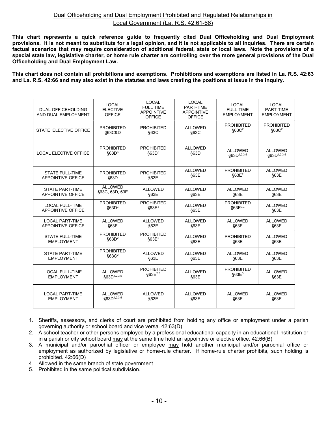#### Dual Officeholding and Dual Employment Prohibited and Regulated Relationships in Local Government (La. R.S. 42:61-66)

This chart represents a quick reference guide to frequently cited Dual Officeholding and Dual Employment provisions. It is not meant to substitute for a legal opinion, and it is not applicable to all inquiries. There are certain factual scenarios that may require consideration of additional federal, state or local laws. Note the provisions of a special state law, legislative charter, or home rule charter are controlling over the more general provisions of the Dual Officeholding and Dual Employment Law.

This chart does not contain all prohibitions and exemptions. Prohibitions and exemptions are listed in La. R.S. 42:63 and La. R.S. 42:66 and may also exist in the statutes and laws creating the positions at issue in the inquiry.

| <b>DUAL OFFICEHOLDING</b><br>AND DUAL EMPLOYMENT | <b>LOCAL</b><br><b>ELECTIVE</b><br><b>OFFICE</b> | LOCAL<br><b>FULL TIME</b><br><b>APPOINTIVE</b><br><b>OFFICE</b> | LOCAL<br>PART-TIME<br><b>APPOINTIVE</b><br><b>OFFICE</b> | <b>LOCAL</b><br><b>FULL-TIME</b><br><b>EMPLOYMENT</b> | <b>LOCAL</b><br>PART-TIME<br><b>EMPLOYMENT</b> |
|--------------------------------------------------|--------------------------------------------------|-----------------------------------------------------------------|----------------------------------------------------------|-------------------------------------------------------|------------------------------------------------|
| STATE ELECTIVE OFFICE                            | <b>PROHIBITED</b>                                | <b>PROHIBITED</b>                                               | <b>ALLOWED</b>                                           | <b>PROHIBITED</b>                                     | <b>PROHIBITED</b>                              |
|                                                  | §63C&D                                           | §63C                                                            | §63C                                                     | $$63C^2$                                              | $$63C^2$                                       |
| <b>LOCAL ELECTIVE OFFICE</b>                     | <b>PROHIBITED</b>                                | <b>PROHIBITED</b>                                               | <b>ALLOWED</b>                                           | <b>ALLOWED</b>                                        | <b>ALLOWED</b>                                 |
|                                                  | \$63D <sup>3</sup>                               | \$63D <sup>3</sup>                                              | §63D                                                     | §63D <sup>1,2,3,5</sup>                               | §63D <sup>1,2,3,5</sup>                        |
| <b>STATE FULL-TIME</b>                           | <b>PROHIBITED</b>                                | <b>PROHIBITED</b>                                               | <b>ALLOWED</b>                                           | <b>PROHIBITED</b>                                     | <b>ALLOWED</b>                                 |
| <b>APPOINTIVE OFFICE</b>                         | \$63D                                            | §63E                                                            | §63E                                                     | \$63E <sup>2</sup>                                    | §63E                                           |
| <b>STATE PART-TIME</b>                           | <b>ALLOWED</b>                                   | <b>ALLOWED</b>                                                  | <b>ALLOWED</b>                                           | <b>ALLOWED</b>                                        | <b>ALLOWED</b>                                 |
| APPOINTIVE OFFICE                                | §63C, 63D, 63E                                   | §63E                                                            | §63E                                                     | §63E                                                  | §63E                                           |
| <b>LOCAL FULL-TIME</b>                           | <b>PROHIBITED</b>                                | <b>PROHIBITED</b>                                               | <b>ALLOWED</b>                                           | <b>PROHIBITED</b>                                     | <b>ALLOWED</b>                                 |
| <b>APPOINTIVE OFFICE</b>                         | \$63D <sup>3</sup>                               | $$63E^3$                                                        | §63E                                                     | $$63E^{3,3}$                                          | §63E                                           |
| <b>LOCAL PART-TIME</b>                           | <b>ALLOWED</b>                                   | <b>ALLOWED</b>                                                  | <b>ALLOWED</b>                                           | <b>ALLOWED</b>                                        | <b>ALLOWED</b>                                 |
| <b>APPOINTIVE OFFICE</b>                         | §63E                                             | §63E                                                            | §63E                                                     | §63E                                                  | §63E                                           |
| <b>STATE FULL-TIME</b>                           | <b>PROHIBITED</b>                                | <b>PROHIBITED</b>                                               | <b>ALLOWED</b>                                           | <b>PROHIBITED</b>                                     | <b>ALLOWED</b>                                 |
| <b>EMPLOYMENT</b>                                | $$63D^2$                                         | \$63E <sup>2</sup>                                              | §63E                                                     | §63E                                                  | §63E                                           |
| <b>STATE PART-TIME</b>                           | <b>PROHIBITED</b>                                | <b>ALLOWED</b>                                                  | <b>ALLOWED</b>                                           | <b>ALLOWED</b>                                        | <b>ALLOWED</b>                                 |
| <b>EMPLOYMENT</b>                                | $$63C^2$                                         | §63E                                                            | §63E                                                     | §63E                                                  | §63E                                           |
| <b>LOCAL FULL-TIME</b>                           | <b>ALLOWED</b>                                   | <b>PROHIBITED</b>                                               | <b>ALLOWED</b>                                           | <b>PROHIBITED</b>                                     | <b>ALLOWED</b>                                 |
| <b>EMPLOYMENT</b>                                | §63D <sup>1,2,3,5</sup>                          | $$63E^{2,3}$                                                    | §63E                                                     | $§63E^3$                                              | §63E                                           |
| <b>LOCAL PART-TIME</b>                           | ALLOWED                                          | <b>ALLOWED</b>                                                  | <b>ALLOWED</b>                                           | <b>ALLOWED</b>                                        | <b>ALLOWED</b>                                 |
| <b>EMPLOYMENT</b>                                | §63D <sup>1,2,3,5</sup>                          | §63E                                                            | §63E                                                     | §63E                                                  | §63E                                           |

- 1. Sheriffs, assessors, and clerks of court are prohibited from holding any office or employment under a parish governing authority or school board and vice versa. 42:63(D)
- 2. A school teacher or other persons employed by a professional educational capacity in an educational institution or in a parish or city school board  $\frac{\text{may}}{\text{at}}$  the same time hold an appointive or elective office. 42:66(B)
- 3. A municipal and/or parochial officer or employee may hold another municipal and/or parochial office or employment as authorized by legislative or home-rule charter. If home-rule charter prohibits, such holding is prohibited. 42:66(D)
- 4. Allowed in the same branch of state government.
- 5. Prohibited in the same political subdivision.